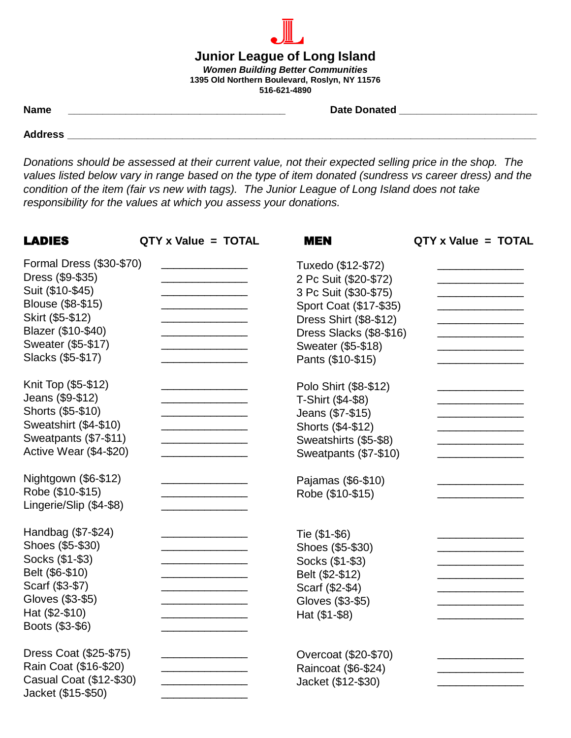## **Junior League of Long Island** *Women Building Better Communities* **1395 Old Northern Boulevard, Roslyn, NY 11576 516-621-4890**

**Name \_\_\_\_\_\_\_\_\_\_\_\_\_\_\_\_\_\_\_\_\_\_\_\_\_\_\_\_\_\_\_\_\_\_\_\_\_\_ Date Donated \_\_\_\_\_\_\_\_\_\_\_\_\_\_\_\_\_\_\_\_\_\_\_\_**

**Address \_\_\_\_\_\_\_\_\_\_\_\_\_\_\_\_\_\_\_\_\_\_\_\_\_\_\_\_\_\_\_\_\_\_\_\_\_\_\_\_\_\_\_\_\_\_\_\_\_\_\_\_\_\_\_\_\_\_\_\_\_\_\_\_\_\_\_\_\_\_\_\_\_\_\_\_\_\_\_\_\_\_**

*Donations should be assessed at their current value, not their expected selling price in the shop. The values listed below vary in range based on the type of item donated (sundress vs career dress) and the condition of the item (fair vs new with tags). The Junior League of Long Island does not take responsibility for the values at which you assess your donations.*

| <b>LADIES</b>                                                                                                                                                              | QTY x Value = TOTAL                                        | <b>MEN</b>                                                                                                                                                                                     | QTY x Value = TOTAL |
|----------------------------------------------------------------------------------------------------------------------------------------------------------------------------|------------------------------------------------------------|------------------------------------------------------------------------------------------------------------------------------------------------------------------------------------------------|---------------------|
| Formal Dress (\$30-\$70)<br>Dress (\$9-\$35)<br>Suit (\$10-\$45)<br>Blouse (\$8-\$15)<br>Skirt (\$5-\$12)<br>Blazer (\$10-\$40)<br>Sweater (\$5-\$17)<br>Slacks (\$5-\$17) | <u> 1989 - Johann John Stone, fransk politik (d. 1989)</u> | Tuxedo (\$12-\$72)<br>2 Pc Suit (\$20-\$72)<br>3 Pc Suit (\$30-\$75)<br>Sport Coat (\$17-\$35)<br>Dress Shirt (\$8-\$12)<br>Dress Slacks (\$8-\$16)<br>Sweater (\$5-\$18)<br>Pants (\$10-\$15) |                     |
| Knit Top (\$5-\$12)<br>Jeans (\$9-\$12)<br>Shorts (\$5-\$10)<br>Sweatshirt (\$4-\$10)<br>Sweatpants (\$7-\$11)<br>Active Wear (\$4-\$20)                                   |                                                            | Polo Shirt (\$8-\$12)<br>T-Shirt (\$4-\$8)<br>Jeans (\$7-\$15)<br>Shorts (\$4-\$12)<br>Sweatshirts (\$5-\$8)<br>Sweatpants (\$7-\$10)                                                          |                     |
| Nightgown (\$6-\$12)<br>Robe (\$10-\$15)<br>Lingerie/Slip (\$4-\$8)                                                                                                        |                                                            | Pajamas (\$6-\$10)<br>Robe (\$10-\$15)                                                                                                                                                         |                     |
| Handbag (\$7-\$24)<br>Shoes (\$5-\$30)<br>Socks (\$1-\$3)<br>Belt (\$6-\$10)<br>Scarf (\$3-\$7)<br>Gloves (\$3-\$5)<br>Hat (\$2-\$10)<br>Boots (\$3-\$6)                   |                                                            | Tie (\$1-\$6)<br>Shoes (\$5-\$30)<br>Socks (\$1-\$3)<br>Belt (\$2-\$12)<br>Scarf (\$2-\$4)<br>Gloves (\$3-\$5)<br>Hat (\$1-\$8)                                                                |                     |
| Dress Coat (\$25-\$75)<br>Rain Coat (\$16-\$20)<br>Casual Coat (\$12-\$30)<br>Jacket (\$15-\$50)                                                                           |                                                            | Overcoat (\$20-\$70)<br>Raincoat (\$6-\$24)<br>Jacket (\$12-\$30)                                                                                                                              |                     |